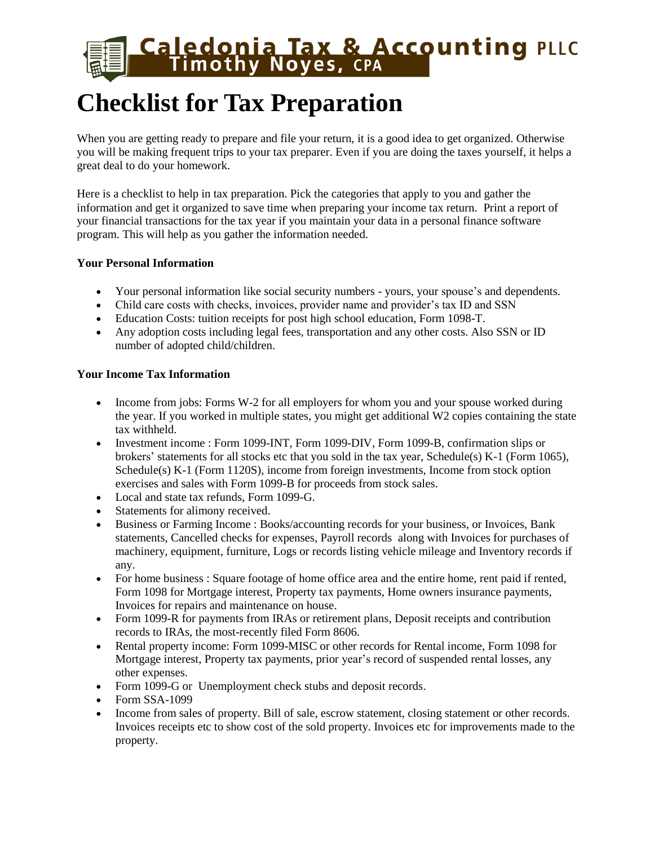# **Caledonia Tax & Accounting PLLC**<br>Timothy Noyes, CPA

## **Checklist for Tax Preparation**

When you are getting ready to prepare and file your return, it is a good idea to get organized. Otherwise you will be making frequent trips to your tax preparer. Even if you are doing the taxes yourself, it helps a great deal to do your homework.

Here is a checklist to help in tax preparation. Pick the categories that apply to you and gather the information and get it organized to save time when preparing your income tax return. Print a report of your financial transactions for the tax year if you maintain your data in a personal finance software program. This will help as you gather the information needed.

### **Your Personal Information**

- Your personal information like social security numbers yours, your spouse's and dependents.
- Child care costs with checks, invoices, provider name and provider's tax ID and SSN
- Education Costs: tuition receipts for post high school education, Form 1098-T.
- Any adoption costs including legal fees, transportation and any other costs. Also SSN or ID number of adopted child/children.

### **Your Income Tax Information**

- Income from jobs: Forms W-2 for all employers for whom you and your spouse worked during the year. If you worked in multiple states, you might get additional W2 copies containing the state tax withheld.
- Investment income : Form 1099-INT, Form 1099-DIV, Form 1099-B, confirmation slips or brokers' statements for all stocks etc that you sold in the tax year, Schedule(s) K-1 (Form 1065), Schedule(s) K-1 (Form 1120S), income from foreign investments, Income from stock option exercises and sales with Form 1099-B for proceeds from stock sales.
- Local and state tax refunds, Form 1099-G.
- Statements for alimony received.
- Business or Farming Income : Books/accounting records for your business, or Invoices, Bank statements, Cancelled checks for expenses, Payroll records along with Invoices for purchases of machinery, equipment, furniture, Logs or records listing vehicle mileage and Inventory records if any.
- For home business : Square footage of home office area and the entire home, rent paid if rented, Form 1098 for Mortgage interest, Property tax payments, Home owners insurance payments, Invoices for repairs and maintenance on house.
- Form 1099-R for payments from IRAs or retirement plans, Deposit receipts and contribution records to IRAs, the most-recently filed Form 8606.
- Rental property income: Form 1099-MISC or other records for Rental income, Form 1098 for Mortgage interest, Property tax payments, prior year's record of suspended rental losses, any other expenses.
- Form 1099-G or Unemployment check stubs and deposit records.
- Form SSA-1099
- Income from sales of property. Bill of sale, escrow statement, closing statement or other records. Invoices receipts etc to show cost of the sold property. Invoices etc for improvements made to the property.